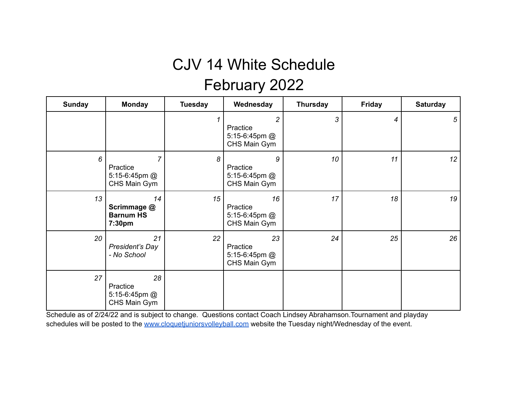## CJV 14 White Schedule February 2022

| <b>Sunday</b> | <b>Monday</b>                                               | <b>Tuesday</b> | Wednesday                                         | <b>Thursday</b> | <b>Friday</b> | <b>Saturday</b> |
|---------------|-------------------------------------------------------------|----------------|---------------------------------------------------|-----------------|---------------|-----------------|
|               |                                                             | 1              | 2<br>Practice<br>5:15-6:45pm @<br>CHS Main Gym    | 3               | 4             | 5               |
| 6             | $\overline{7}$<br>Practice<br>5:15-6:45pm @<br>CHS Main Gym | 8              | 9<br>Practice<br>5:15-6:45pm @<br>CHS Main Gym    | 10              | 11            | 12              |
| 13            | 14<br>Scrimmage @<br><b>Barnum HS</b><br>7:30pm             | 15             | 16<br>Practice<br>5:15-6:45pm @<br>CHS Main Gym   | 17              | 18            | 19              |
| 20            | 21<br>President's Day<br>- No School                        | 22             | 23<br>Practice<br>5:15-6:45pm $@$<br>CHS Main Gym | 24              | 25            | 26              |
| 27            | 28<br>Practice<br>5:15-6:45pm @<br>CHS Main Gym             |                |                                                   |                 |               |                 |

Schedule as of 2/24/22 and is subject to change. Questions contact Coach Lindsey Abrahamson.Tournament and playday schedules will be posted to the www.cloquetiuniorsvolleyball.com website the Tuesday night/Wednesday of the event.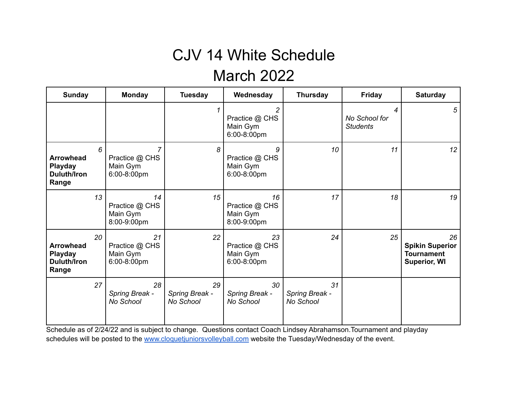## CJV 14 White Schedule March 2022

| <b>Sunday</b>                                                     |    | <b>Monday</b>                                   | <b>Tuesday</b>                    | Wednesday                                                   | <b>Thursday</b>                   | <b>Friday</b>                         | <b>Saturday</b>                                                          |
|-------------------------------------------------------------------|----|-------------------------------------------------|-----------------------------------|-------------------------------------------------------------|-----------------------------------|---------------------------------------|--------------------------------------------------------------------------|
|                                                                   |    |                                                 |                                   | $\overline{c}$<br>Practice @ CHS<br>Main Gym<br>6:00-8:00pm |                                   | 4<br>No School for<br><b>Students</b> | 5                                                                        |
| <b>Arrowhead</b><br>Playday<br><b>Duluth/Iron</b><br>Range        | 6  | 7<br>Practice @ CHS<br>Main Gym<br>6:00-8:00pm  | 8                                 | 9<br>Practice @ CHS<br>Main Gym<br>6:00-8:00pm              | 10                                | 11                                    | 12                                                                       |
|                                                                   | 13 | 14<br>Practice @ CHS<br>Main Gym<br>8:00-9:00pm | 15                                | 16<br>Practice @ CHS<br>Main Gym<br>8:00-9:00pm             | 17                                | 18                                    | 19                                                                       |
| <b>Arrowhead</b><br><b>Playday</b><br><b>Duluth/Iron</b><br>Range | 20 | 21<br>Practice @ CHS<br>Main Gym<br>6:00-8:00pm | 22                                | 23<br>Practice @ CHS<br>Main Gym<br>6:00-8:00pm             | 24                                | 25                                    | 26<br><b>Spikin Superior</b><br><b>Tournament</b><br><b>Superior, WI</b> |
|                                                                   | 27 | 28<br>Spring Break -<br>No School               | 29<br>Spring Break -<br>No School | 30<br>Spring Break -<br>No School                           | 31<br>Spring Break -<br>No School |                                       |                                                                          |

Schedule as of 2/24/22 and is subject to change. Questions contact Coach Lindsey Abrahamson.Tournament and playday schedules will be posted to the [www.cloquetjuniorsvolleyball.com](http://www.cloquetjuniorsvolleyball.com) website the Tuesday/Wednesday of the event.